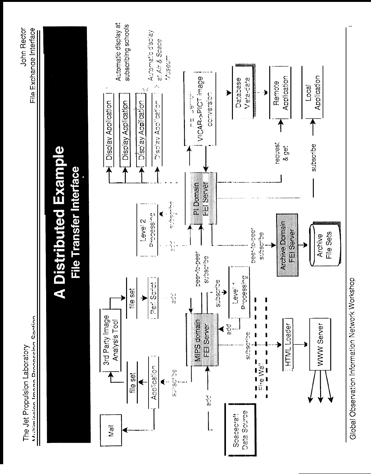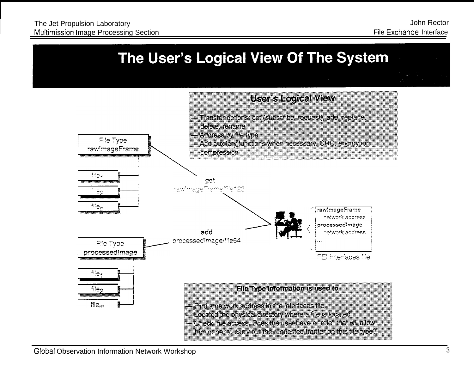## The User's Logical View Of The System

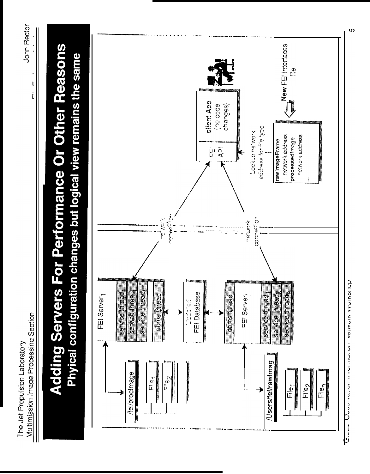## **Adding Servers For Performance Or Other Reasons** Phyical configuration changes but logical view remains the same

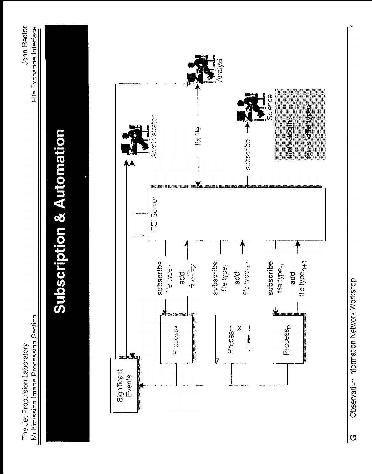# **Subscription & Automation**

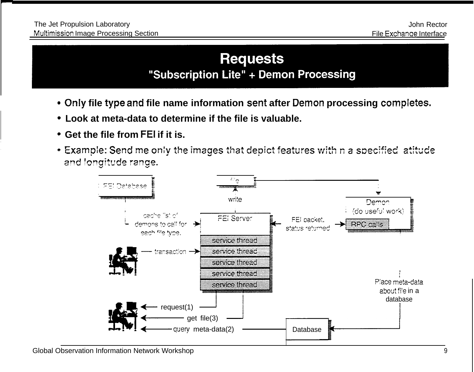### **Requests** "Subscription Lite" + Demon Processing

- **Only file type and file name information sent after Demon processing comp[etes,**
- **Look at meta-data to determine if the file is valuable.**
- **Get the file from FEI if it is.**
- $\bullet$  Example: Send me only the images that depict features with n a specified atitude and longitude range.

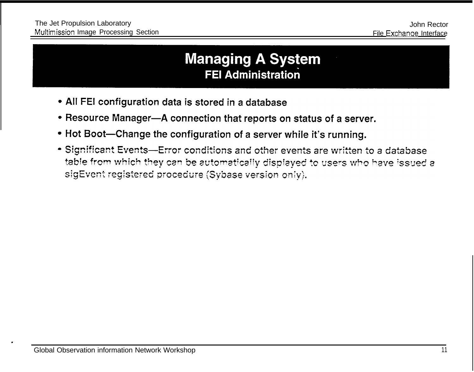### **Managing A System FEI Administration**

- All FEI configuration data is stored in a database
- Resource Manager-A connection that reports on status of a server.
- . Hot Boot-Change the configuration of a server while it's running.
- Significant Events-Error conditions and other events are written to a database table from which they can be automatically displayed to users who have issued a sigEvent registered procedure (Sybase version only).

.